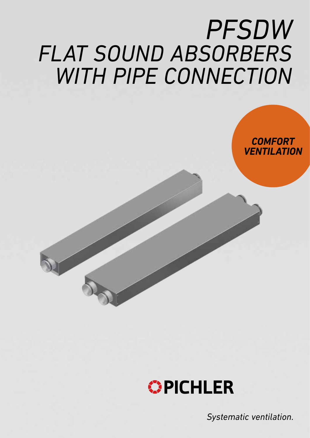# *PFSDW FLAT SOUND ABSORBERS WITH PIPE CONNECTION*

*COMFORT VENTILATION*



*Systematic ventilation.*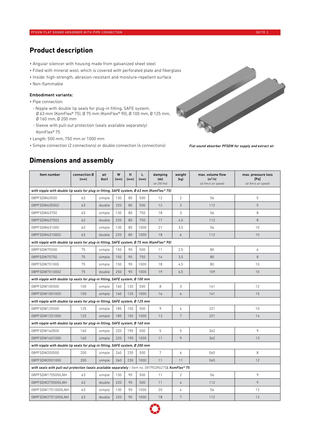## **Product description**

- Angular silencer with housing made from galvanized sheet steel
- 
- Inside: high-strength, abrasion-resistant and moisture-repellent surface
- Non-flammable

#### Embodiment variants:

- Pipe connection:
- Nipple with double lip seals for plug-in fitting, SAFE system, Ø 63 mm (KomFlex® 75), Ø 75 mm (KomFlex® 90), Ø 100 mm, Ø 125 mm, Ø 160 mm, Ø 200 mm
- Sleeve with pull-out protection (seals available separately) KomFlex® 75
- Length: 500 mm, 750 mm or 1000 mm
- Simple connection (2 connections) or double connection (4 connections)



*Flat sound absorber PFSDW for supply and extract air*

| Item number                                                                                          | connection Ø<br>[mm] | air<br>duct | W<br>[mm] | н<br>[mm] | L<br>[mm] | damping<br>[db]<br>(at 250 Hz) | weight<br>[kg]  | max. volume flow<br>$\text{Im}^3/\text{hl}$<br>(at 5m/s air speed) | max. pressure loss<br>[Pa]<br>(at 5m/s air speed) |
|------------------------------------------------------------------------------------------------------|----------------------|-------------|-----------|-----------|-----------|--------------------------------|-----------------|--------------------------------------------------------------------|---------------------------------------------------|
| with nipple with double lip seals for plug-in fitting, SAFE system, Ø 63 mm (KomFlex® 75)            |                      |             |           |           |           |                                |                 |                                                                    |                                                   |
| 08PFSDW63500                                                                                         | 63                   | simple      | 130       | 80        | 500       | 12                             | 2               | 56                                                                 | 5                                                 |
| 08PFSDW635002                                                                                        | 63                   | double      | 220       | 80        | 500       | 12                             | $\overline{3}$  | 112                                                                | 5                                                 |
| 08PFSDW63750                                                                                         | 63                   | simple      | 130       | 80        | 750       | 18                             | 3               | 56                                                                 | 8                                                 |
| 08PFSDW637502                                                                                        | 63                   | double      | 220       | 80        | 750       | 17                             | 4,5             | 112                                                                | 8                                                 |
| 08PFSDW631000                                                                                        | 63                   | simple      | 130       | 80        | 1000      | 21                             | 3,5             | 56                                                                 | 10                                                |
| 08PFSDW6310002                                                                                       | 63                   | double      | 220       | 80        | 1000      | 18                             | 6               | 112                                                                | 10                                                |
| with nipple with double lip seals for plug-in fitting, SAFE system, Ø 75 mm (KomFlex® 90)            |                      |             |           |           |           |                                |                 |                                                                    |                                                   |
| 08PFSDW75500                                                                                         | 75                   | simple      | 150       | 90        | 500       | 11                             | 2,5             | 80                                                                 | 6                                                 |
| 08PFSDW75750                                                                                         | 75                   | simple      | 150       | 90        | 750       | 14                             | 3,5             | 80                                                                 | 8                                                 |
| 08PFSDW751000                                                                                        | 75                   | simple      | 150       | 90        | 1000      | 18                             | 4,5             | 80                                                                 | 10                                                |
| 08PFSDW7510002                                                                                       | 75                   | double      | 250       | 90        | 1000      | 19                             | 6.5             | 159                                                                | 10                                                |
| with nipple with double lip seals for plug-in fitting, SAFE system, Ø 100 mm                         |                      |             |           |           |           |                                |                 |                                                                    |                                                   |
| 08PFSDW100500                                                                                        | 100                  | simple      | 160       | 120       | 500       | 8                              | 3               | 141                                                                | 12                                                |
| 08PFSDW1001000                                                                                       | 100                  | simple      | 160       | 120       | 1000      | 16                             | 6               | 141                                                                | 15                                                |
| with nipple with double lip seals for plug-in fitting, SAFE system, Ø 125 mm                         |                      |             |           |           |           |                                |                 |                                                                    |                                                   |
| 08PFSDW125500                                                                                        | 125                  | simple      | 185       | 150       | 500       | 9                              | $\overline{4}$  | 221                                                                | 10                                                |
| 08PFSDW1251000                                                                                       | 125                  | simple      | 185       | 150       | 1000      | 13                             | $7\overline{ }$ | 221                                                                | 14                                                |
| with nipple with double lip seals for plug-in fitting, SAFE system, Ø 160 mm                         |                      |             |           |           |           |                                |                 |                                                                    |                                                   |
| 08PFSDW160500                                                                                        | 160                  | simple      | 220       | 190       | 500       | 5                              | 5               | 362                                                                | 9                                                 |
| 08PFSDW1601000                                                                                       | 160                  | simple      | 220       | 190       | 1000      | 11                             | 9               | 362                                                                | 13                                                |
| with nipple with double lip seals for plug-in fitting, SAFE system, Ø 200 mm                         |                      |             |           |           |           |                                |                 |                                                                    |                                                   |
| 08PFSDW200500                                                                                        | 200                  | simple      | 260       | 230       | 500       | $\overline{7}$                 | 6               | 565                                                                | 8                                                 |
| 08PFSDW2001000                                                                                       | 200                  | simple      | 260       | 230       | 1000      | 11                             | 11              | 565                                                                | 12                                                |
| with seals with pull-out protection (seals available separately - Item no. 08TPEDR6275), KomFlex® 75 |                      |             |           |           |           |                                |                 |                                                                    |                                                   |
| 08PFSDW175500ILNH                                                                                    | 63                   | simple      | 130       | 90        | 500       | 11                             | $\overline{2}$  | 56                                                                 | 9                                                 |
| 08PFSDW275500ILNH                                                                                    | 63                   | double      | 220       | 90        | 500       | 11                             | $\overline{4}$  | 112                                                                | 9                                                 |
| 08PFSDW1751000ILNH                                                                                   | 63                   | simple      | 130       | 90        | 1000      | 20                             | $\overline{4}$  | 56                                                                 | 12                                                |
| 08PFSDW2751000ILNH                                                                                   | 63                   | double      | 220       | 90        | 1000      | 18                             | $7\overline{ }$ | 112                                                                | 12                                                |

## **Dimensions and assembly**

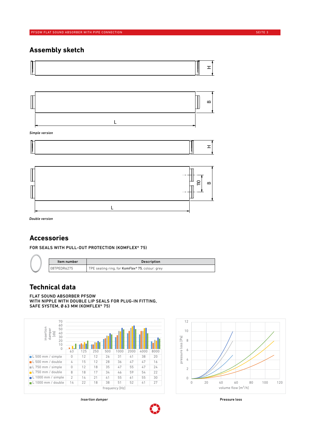## **Assembly sketch**



*Double version*

## **Accessories**

FOR SEALS WITH PULL-OUT PROTECTION (KOMFLEX® 75)

| ltem number | <b>Description</b>                              |
|-------------|-------------------------------------------------|
| 08TPFDR6275 | TPE sealing ring, for KomFlex® 75, colour: grey |

### **Technical data**

FLAT SOUND ABSORBER PFSDW WITH NIPPLE WITH DOUBLE LIP SEALS FOR PLUG-IN FITTING, SAFE SYSTEM, Ø 63 MM (KOMFLEX® 75)

| 70<br>60<br>insertion<br>50<br>damper<br>[db]<br>40<br>30<br>20<br>10<br>$\Omega$ | 63             | 125 | 250 | 500 | 1000           | 2000 | 4000 | 8000 |
|-----------------------------------------------------------------------------------|----------------|-----|-----|-----|----------------|------|------|------|
| $\blacksquare$ L 500 mm / simple                                                  | 0              | 12  | 12  | 26  | 31             | 41   | 38   | 20   |
| $\blacksquare$ L 500 mm / double                                                  | 4              | 15  | 12  | 28  | 36             | 47   | 47   | 16   |
| L 750 mm / simple                                                                 | $\theta$       | 12  | 18  | 35  | 47             | 55   | 47   | 24   |
| $\blacksquare$ L 750 mm / double                                                  | 8              | 18  | 17  | 34  | 46             | 59   | 54   | 22   |
| $\blacksquare$ L 1000 mm / simple                                                 | $\overline{2}$ | 14  | 21  | 41  | 55             | 61   | 55   | 30   |
| 1000 mm / double                                                                  | 14             | 22  | 18  | 38  | 51             | 52   | 41   | 27   |
|                                                                                   |                |     |     |     | frequency [Hz] |      |      |      |

**Insertion damper Pressure loss** 

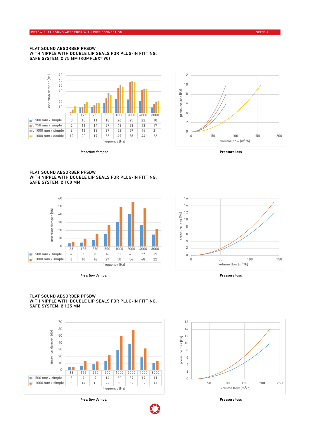#### FLAT SOUND ABSORBER PFSDW WITH NIPPLE WITH DOUBLE LIP SEALS FOR PLUG-IN FITTING, SAFE SYSTEM, Ø 75 MM (KOMFLEX® 90)





#### FLAT SOUND ABSORBER PFSDW WITH NIPPLE WITH DOUBLE LIP SEALS FOR PLUG-IN FITTING, SAFE SYSTEM, Ø 100 MM



**Insertion damper Department of the COVID-10 control of the Pressure loss** 



## SAFE SYSTEM, Ø 125 MM

WITH NIPPLE WITH DOUBLE LIP SEALS FOR PLUG-IN FITTING,

FLAT SOUND ABSORBER PFSDW



*Insertion damper* **Alternative Construction Construction Construction Pressure loss** 

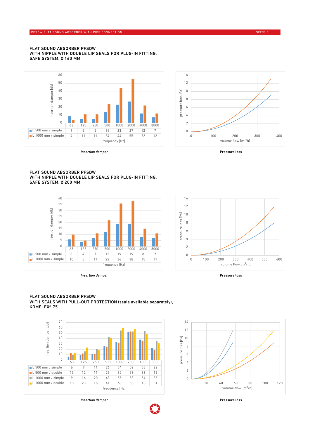#### FLAT SOUND ABSORBER PFSDW WITH NIPPLE WITH DOUBLE LIP SEALS FOR PLUG-IN FITTING, SAFE SYSTEM, Ø 160 MM





#### FLAT SOUND ABSORBER PFSDW WITH NIPPLE WITH DOUBLE LIP SEALS FOR PLUG-IN FITTING, SAFE SYSTEM, Ø 200 MM



**Insertion damper Department of the COVID-10 control of the Pressure loss** 



#### FLAT SOUND ABSORBER PFSDW WITH SEALS WITH PULL-OUT PROTECTION (seals available separately), KOMFLEX® 75



**Insertion damper now all all and the pressure loss Pressure loss** 

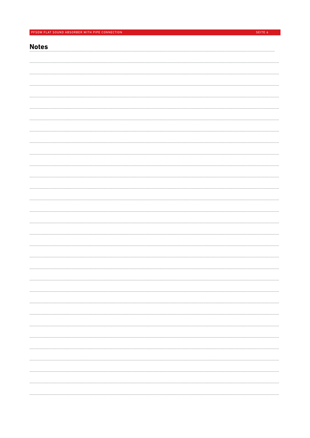| PFSDW FLAT SOUND ABSORBER WITH PIPE CONNECTION |  |  |
|------------------------------------------------|--|--|
|                                                |  |  |

| <b>Notes</b> |        |
|--------------|--------|
|              |        |
|              |        |
|              |        |
|              |        |
|              |        |
|              |        |
|              |        |
|              |        |
|              |        |
|              |        |
|              |        |
|              |        |
|              |        |
|              |        |
|              |        |
|              |        |
|              |        |
|              |        |
|              |        |
|              |        |
|              |        |
|              |        |
|              |        |
|              |        |
|              |        |
|              |        |
|              |        |
|              | ______ |
|              |        |
|              |        |
|              |        |
|              |        |
|              |        |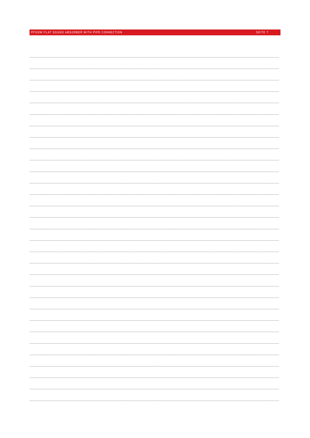| PESDW FLAT SOUND ABSORBER WITH PIPE CONNECTION |
|------------------------------------------------|
|------------------------------------------------|